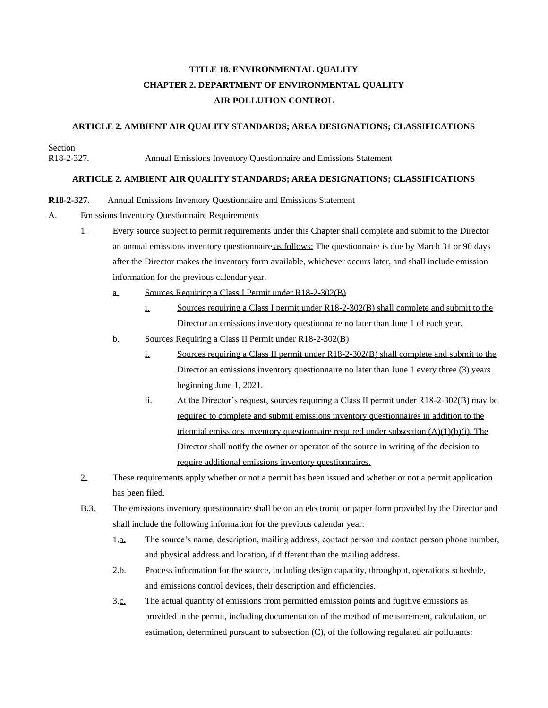# **TITLE 18. ENVIRONMENTAL QUALITY CHAPTER 2. DEPARTMENT OF ENVIRONMENTAL QUALITY AIR POLLUTION CONTROL**

## **ARTICLE 2. AMBIENT AIR QUALITY STANDARDS; AREA DESIGNATIONS; CLASSIFICATIONS**

Section

R18-2-327. Annual Emissions Inventory Questionnaire and Emissions Statement

### **ARTICLE 2. AMBIENT AIR QUALITY STANDARDS; AREA DESIGNATIONS; CLASSIFICATIONS**

#### **R18-2-327.** Annual Emissions Inventory Questionnaire and Emissions Statement

#### A. Emissions Inventory Questionnaire Requirements

- 1. Every source subject to permit requirements under this Chapter shall complete and submit to the Director an annual emissions inventory questionnaire as follows: The questionnaire is due by March 31 or 90 days after the Director makes the inventory form available, whichever occurs later, and shall include emission information for the previous calendar year.
	- a. Sources Requiring a Class I Permit under R18-2-302(B)
		- i. Sources requiring a Class I permit under R18-2-302(B) shall complete and submit to the Director an emissions inventory questionnaire no later than June 1 of each year.
	- b. Sources Requiring a Class II Permit under R18-2-302(B)
		- i. Sources requiring a Class II permit under R18-2-302(B) shall complete and submit to the Director an emissions inventory questionnaire no later than June 1 every three (3) years beginning June 1, 2021.
		- ii. At the Director's request, sources requiring a Class II permit under R18-2-302(B) may be required to complete and submit emissions inventory questionnaires in addition to the triennial emissions inventory questionnaire required under subsection (A)(1)(b)(i). The Director shall notify the owner or operator of the source in writing of the decision to require additional emissions inventory questionnaires.
- 2. These requirements apply whether or not a permit has been issued and whether or not a permit application has been filed.
- B.3. The emissions inventory questionnaire shall be on an electronic or paper form provided by the Director and shall include the following information for the previous calendar year:
	- 1.a. The source's name, description, mailing address, contact person and contact person phone number, and physical address and location, if different than the mailing address.
	- 2.b. Process information for the source, including design capacity, throughput, operations schedule, and emissions control devices, their description and efficiencies.
	- 3.c. The actual quantity of emissions from permitted emission points and fugitive emissions as provided in the permit, including documentation of the method of measurement, calculation, or estimation, determined pursuant to subsection (C), of the following regulated air pollutants: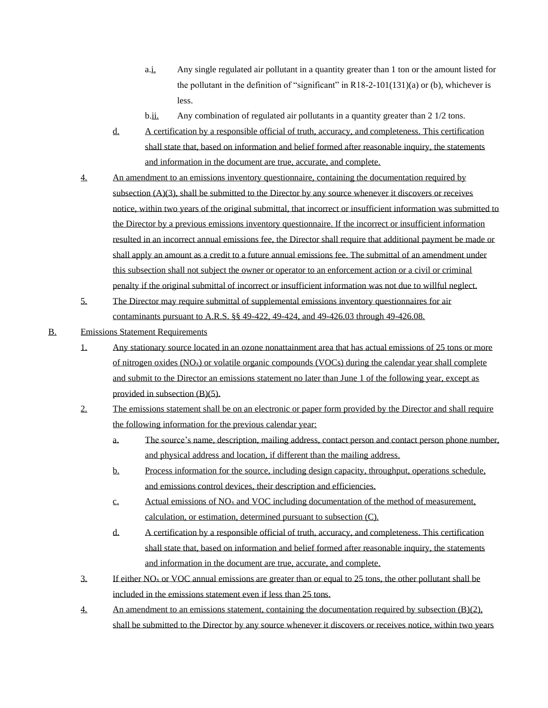- a.i. Any single regulated air pollutant in a quantity greater than 1 ton or the amount listed for the pollutant in the definition of "significant" in R18-2-101(131)(a) or (b), whichever is less.
- b.ii. Any combination of regulated air pollutants in a quantity greater than 2 1/2 tons.
- d. A certification by a responsible official of truth, accuracy, and completeness. This certification shall state that, based on information and belief formed after reasonable inquiry, the statements and information in the document are true, accurate, and complete.
- 4. An amendment to an emissions inventory questionnaire, containing the documentation required by subsection (A)(3), shall be submitted to the Director by any source whenever it discovers or receives notice, within two years of the original submittal, that incorrect or insufficient information was submitted to the Director by a previous emissions inventory questionnaire. If the incorrect or insufficient information resulted in an incorrect annual emissions fee, the Director shall require that additional payment be made or shall apply an amount as a credit to a future annual emissions fee. The submittal of an amendment under this subsection shall not subject the owner or operator to an enforcement action or a civil or criminal penalty if the original submittal of incorrect or insufficient information was not due to willful neglect.
- 5. The Director may require submittal of supplemental emissions inventory questionnaires for air contaminants pursuant to A.R.S. §§ 49-422, 49-424, and 49-426.03 through 49-426.08.
- B. Emissions Statement Requirements
	- 1. Any stationary source located in an ozone nonattainment area that has actual emissions of 25 tons or more of nitrogen oxides (NOx) or volatile organic compounds (VOCs) during the calendar year shall complete and submit to the Director an emissions statement no later than June 1 of the following year, except as provided in subsection (B)(5).
	- 2. The emissions statement shall be on an electronic or paper form provided by the Director and shall require the following information for the previous calendar year:
		- a. The source's name, description, mailing address, contact person and contact person phone number, and physical address and location, if different than the mailing address.
		- b. Process information for the source, including design capacity, throughput, operations schedule, and emissions control devices, their description and efficiencies.
		- c. Actual emissions of  $NO<sub>x</sub>$  and  $VOC$  including documentation of the method of measurement, calculation, or estimation, determined pursuant to subsection (C).
		- d. A certification by a responsible official of truth, accuracy, and completeness. This certification shall state that, based on information and belief formed after reasonable inquiry, the statements and information in the document are true, accurate, and complete.
	- 3. If either NO<sub>x</sub> or VOC annual emissions are greater than or equal to 25 tons, the other pollutant shall be included in the emissions statement even if less than 25 tons.
	- 4. An amendment to an emissions statement, containing the documentation required by subsection (B)(2), shall be submitted to the Director by any source whenever it discovers or receives notice, within two years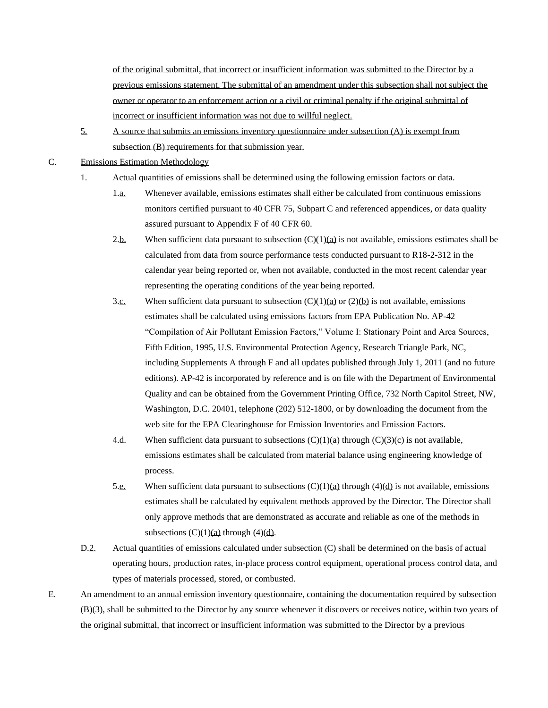of the original submittal, that incorrect or insufficient information was submitted to the Director by a previous emissions statement. The submittal of an amendment under this subsection shall not subject the owner or operator to an enforcement action or a civil or criminal penalty if the original submittal of incorrect or insufficient information was not due to willful neglect.

- 5. A source that submits an emissions inventory questionnaire under subsection (A) is exempt from subsection (B) requirements for that submission year.
- C. Emissions Estimation Methodology
	- 1. Actual quantities of emissions shall be determined using the following emission factors or data.
		- 1.a. Whenever available, emissions estimates shall either be calculated from continuous emissions monitors certified pursuant to 40 CFR 75, Subpart C and referenced appendices, or data quality assured pursuant to Appendix F of 40 CFR 60.
		- 2.b. When sufficient data pursuant to subsection  $(C)(1)(a)$  is not available, emissions estimates shall be calculated from data from source performance tests conducted pursuant to R18-2-312 in the calendar year being reported or, when not available, conducted in the most recent calendar year representing the operating conditions of the year being reported.
		- 3.c. When sufficient data pursuant to subsection  $(C)(1)(a)$  or  $(2)(b)$  is not available, emissions estimates shall be calculated using emissions factors from EPA Publication No. AP-42 "Compilation of Air Pollutant Emission Factors," Volume I: Stationary Point and Area Sources, Fifth Edition, 1995, U.S. Environmental Protection Agency, Research Triangle Park, NC, including Supplements A through F and all updates published through July 1, 2011 (and no future editions). AP-42 is incorporated by reference and is on file with the Department of Environmental Quality and can be obtained from the Government Printing Office, 732 North Capitol Street, NW, Washington, D.C. 20401, telephone (202) 512-1800, or by downloading the document from the web site for the EPA Clearinghouse for Emission Inventories and Emission Factors.
		- 4.d. When sufficient data pursuant to subsections  $(C)(1)(a)$  through  $(C)(3)(c)$  is not available, emissions estimates shall be calculated from material balance using engineering knowledge of process.
		- 5.e. When sufficient data pursuant to subsections  $(C)(1)(a)$  through  $(4)(d)$  is not available, emissions estimates shall be calculated by equivalent methods approved by the Director. The Director shall only approve methods that are demonstrated as accurate and reliable as one of the methods in subsections  $(C)(1)(a)$  through  $(4)(d)$ .
	- D.2. Actual quantities of emissions calculated under subsection (C) shall be determined on the basis of actual operating hours, production rates, in-place process control equipment, operational process control data, and types of materials processed, stored, or combusted.
- E. An amendment to an annual emission inventory questionnaire, containing the documentation required by subsection (B)(3), shall be submitted to the Director by any source whenever it discovers or receives notice, within two years of the original submittal, that incorrect or insufficient information was submitted to the Director by a previous